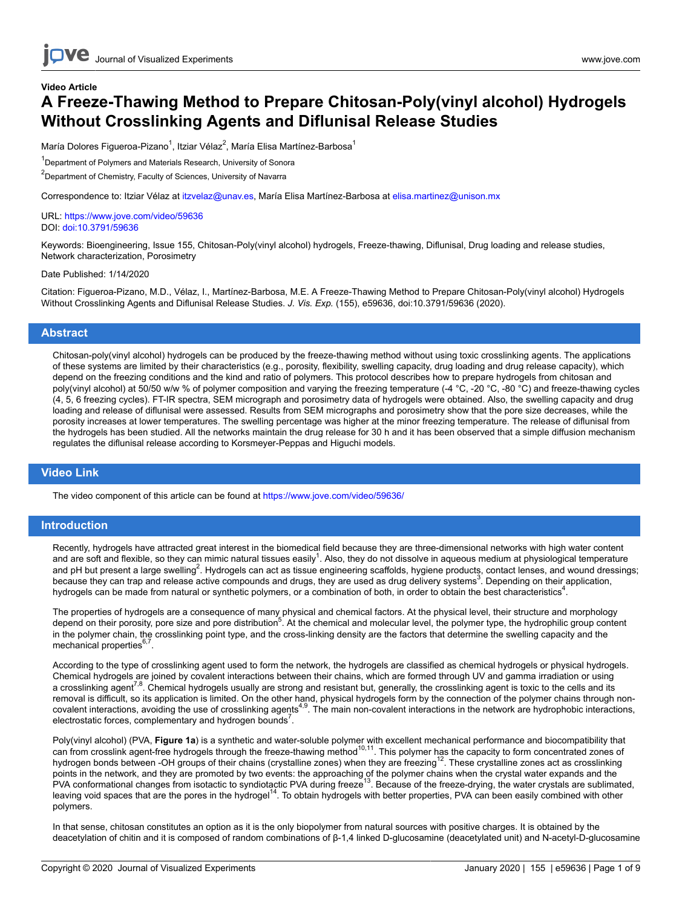## **Video Article A Freeze-Thawing Method to Prepare Chitosan-Poly(vinyl alcohol) Hydrogels Without Crosslinking Agents and Diflunisal Release Studies**

María Dolores Figueroa-Pizano<sup>1</sup>, Itziar Vélaz<sup>2</sup>, María Elisa Martínez-Barbosa<sup>1</sup>

<sup>1</sup>Department of Polymers and Materials Research, University of Sonora

<sup>2</sup>Department of Chemistry, Faculty of Sciences, University of Navarra

Correspondence to: Itziar Vélaz at [itzvelaz@unav.es](mailto:itzvelaz@unav.es), María Elisa Martínez-Barbosa at [elisa.martinez@unison.mx](mailto:elisa.martinez@unison.mx)

URL:<https://www.jove.com/video/59636> DOI: [doi:10.3791/59636](http://dx.doi.org/10.3791/59636)

Keywords: Bioengineering, Issue 155, Chitosan-Poly(vinyl alcohol) hydrogels, Freeze-thawing, Diflunisal, Drug loading and release studies, Network characterization, Porosimetry

#### Date Published: 1/14/2020

Citation: Figueroa-Pizano, M.D., Vélaz, I., Martínez-Barbosa, M.E. A Freeze-Thawing Method to Prepare Chitosan-Poly(vinyl alcohol) Hydrogels Without Crosslinking Agents and Diflunisal Release Studies. *J. Vis. Exp.* (155), e59636, doi:10.3791/59636 (2020).

### **Abstract**

Chitosan-poly(vinyl alcohol) hydrogels can be produced by the freeze-thawing method without using toxic crosslinking agents. The applications of these systems are limited by their characteristics (e.g., porosity, flexibility, swelling capacity, drug loading and drug release capacity), which depend on the freezing conditions and the kind and ratio of polymers. This protocol describes how to prepare hydrogels from chitosan and poly(vinyl alcohol) at 50/50 w/w % of polymer composition and varying the freezing temperature (-4 °C, -20 °C, -80 °C) and freeze-thawing cycles (4, 5, 6 freezing cycles). FT-IR spectra, SEM micrograph and porosimetry data of hydrogels were obtained. Also, the swelling capacity and drug loading and release of diflunisal were assessed. Results from SEM micrographs and porosimetry show that the pore size decreases, while the porosity increases at lower temperatures. The swelling percentage was higher at the minor freezing temperature. The release of diflunisal from the hydrogels has been studied. All the networks maintain the drug release for 30 h and it has been observed that a simple diffusion mechanism regulates the diflunisal release according to Korsmeyer-Peppas and Higuchi models.

## **Video Link**

The video component of this article can be found at <https://www.jove.com/video/59636/>

## **Introduction**

Recently, hydrogels have attracted great interest in the biomedical field because they are three-dimensional networks with high water content and are soft and flexible, so they can mimic natural tissues easily<sup>1</sup>. Also, they do not dissolve in aqueous medium at physiological temperature and pH but present a large swelling<sup>2</sup>. Hydrogels can act as tissue engineering scaffolds, hygiene products, contact lenses, and wound dressings; because they can trap and release active compounds and drugs, they are used as drug delivery systems<sup>3</sup>. Depending on their application, hydrogels can be made from natural or synthetic polymers, or a combination of both, in order to obtain the best characteristics<sup>4</sup>.

The properties of hydrogels are a consequence of many physical and chemical factors. At the physical level, their structure and morphology depend on their porosity, pore size and pore distribution<sup>5</sup>. At the chemical and molecular level, the polymer type, the hydrophilic group content in the polymer chain, the crosslinking point type, and the cross-linking density are the factors that determine the swelling capacity and the mechanical properties<sup>6,7</sup>.

According to the type of crosslinking agent used to form the network, the hydrogels are classified as chemical hydrogels or physical hydrogels. Chemical hydrogels are joined by covalent interactions between their chains, which are formed through UV and gamma irradiation or using a crosslinking agent<sup>7,8</sup>. Chemical hydrogels usually are strong and resistant but, generally, the crosslinking agent is toxic to the cells and its removal is difficult, so its application is limited. On the other hand, physical hydrogels form by the connection of the polymer chains through noncovalent interactions, avoiding the use of crosslinking agents<sup>4,9</sup>. The main non-covalent interactions in the network are hydrophobic interactions, electrostatic forces, complementary and hydrogen bounds<sup>7</sup>.

Poly(vinyl alcohol) (PVA, **Figure 1a**) is a synthetic and water-soluble polymer with excellent mechanical performance and biocompatibility that<br>can from crosslink agent-free hydrogels through the freeze-thawing method<sup>10,1</sup> hydrogen bonds between -OH groups of their chains (crystalline zones) when they are freezing<sup>12</sup>. These crystalline zones act as crosslinking points in the network, and they are promoted by two events: the approaching of the polymer chains when the crystal water expands and the PVA conformational changes from isotactic to syndiotactic PVA during freeze<sup>13</sup>. Because of the freeze-drying, the water crystals are sublimated, leaving void spaces that are the pores in the hydrogel<sup>14</sup>. To obtain hydrogels with better properties, PVA can been easily combined with other polymers.

In that sense, chitosan constitutes an option as it is the only biopolymer from natural sources with positive charges. It is obtained by the deacetylation of chitin and it is composed of random combinations of β-1,4 linked D-glucosamine (deacetylated unit) and N-acetyl-D-glucosamine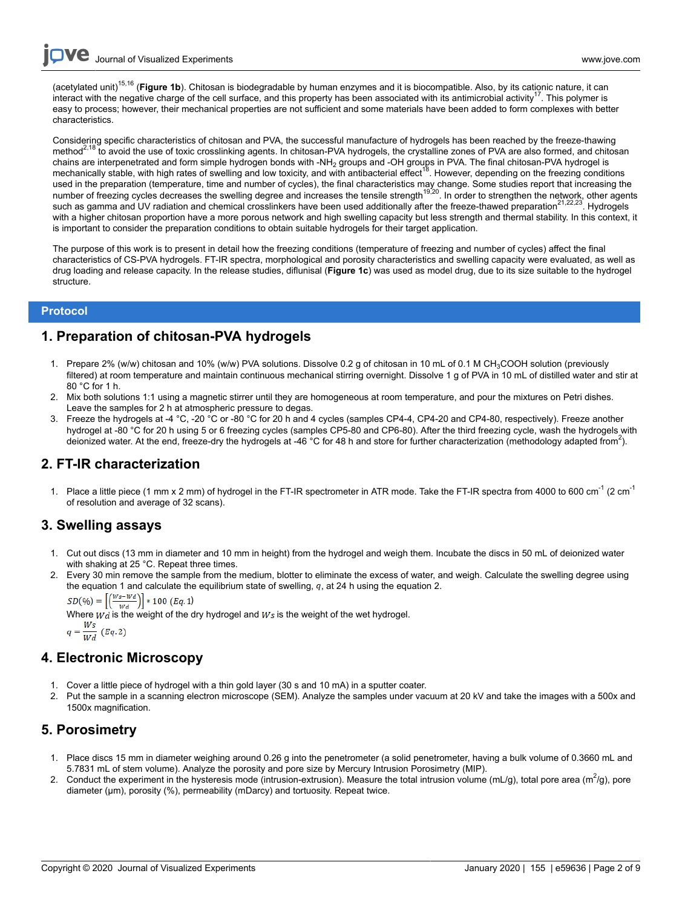(acetylated unit)15,16 (**Figure 1b**). Chitosan is biodegradable by human enzymes and it is biocompatible. Also, by its cationic nature, it can interact with the negative charge of the cell surface, and this property has been associated with its antimicrobial activity<sup>17</sup>. This polymer is easy to process; however, their mechanical properties are not sufficient and some materials have been added to form complexes with better characteristics.

Considering specific characteristics of chitosan and PVA, the successful manufacture of hydrogels has been reached by the freeze-thawing method<sup>2,18</sup> to avoid the use of toxic crosslinking agents. In chitosan-PVA hydrogels, the crystalline zones of PVA are also formed, and chitosanchains are interpenetrated and form simple hydrogen bonds with -NH<sub>2</sub> groups and -OH groups in PVA. The final chitosan-PVA hydrogel is mechanically stable, with high rates of swelling and low toxicity, and with antibacterial effect<sup>18</sup>. However, depending on the freezing conditions used in the preparation (temperature, time and number of cycles), the final characteristics may change. Some studies report that increasing the number of freezing cycles decreases the swelling degree and increases the tensile strength<sup>19,20</sup>. In order to strengthen the network, other agents such as gamma and UV radiation and chemical crosslinkers have been used additionally after the freeze-thawed preparation<sup>21,22,23</sup>. Hydrogels with a higher chitosan proportion have a more porous network and high swelling capacity but less strength and thermal stability. In this context, it is important to consider the preparation conditions to obtain suitable hydrogels for their target application.

The purpose of this work is to present in detail how the freezing conditions (temperature of freezing and number of cycles) affect the final characteristics of CS-PVA hydrogels. FT-IR spectra, morphological and porosity characteristics and swelling capacity were evaluated, as well as drug loading and release capacity. In the release studies, diflunisal (**Figure 1c**) was used as model drug, due to its size suitable to the hydrogel structure.

## **Protocol**

## **1. Preparation of chitosan-PVA hydrogels**

- 1. Prepare 2% (w/w) chitosan and 10% (w/w) PVA solutions. Dissolve 0.2 g of chitosan in 10 mL of 0.1 M CH3COOH solution (previously filtered) at room temperature and maintain continuous mechanical stirring overnight. Dissolve 1 g of PVA in 10 mL of distilled water and stir at 80 °C for 1 h.
- 2. Mix both solutions 1:1 using a magnetic stirrer until they are homogeneous at room temperature, and pour the mixtures on Petri dishes. Leave the samples for 2 h at atmospheric pressure to degas.
- 3. Freeze the hydrogels at -4 °C, -20 °C or -80 °C for 20 h and 4 cycles (samples CP4-4, CP4-20 and CP4-80, respectively). Freeze another hydrogel at -80 °C for 20 h using 5 or 6 freezing cycles (samples CP5-80 and CP6-80). After the third freezing cycle, wash the hydrogels with deionized water. At the end, freeze-dry the hydrogels at -46 °C for 48 h and store for further characterization (methodology adapted from<sup>2</sup>).

# **2. FT-IR characterization**

1. Place a little piece (1 mm x 2 mm) of hydrogel in the FT-IR spectrometer in ATR mode. Take the FT-IR spectra from 4000 to 600 cm<sup>-1</sup> (2 cm<sup>-1</sup> of resolution and average of 32 scans).

## **3. Swelling assays**

- 1. Cut out discs (13 mm in diameter and 10 mm in height) from the hydrogel and weigh them. Incubate the discs in 50 mL of deionized water with shaking at 25 °C. Repeat three times.
- 2. Every 30 min remove the sample from the medium, blotter to eliminate the excess of water, and weigh. Calculate the swelling degree using the equation 1 and calculate the equilibrium state of swelling,  $q$ , at 24 h using the equation 2.

 $SD(\%) = \left[\left(\frac{Ws - Wd}{Wd}\right)\right] * 100~(Eq.~1)$ 

Where  $\vec{w}$  is the weight of the dry hydrogel and  $\vec{w}$  is the weight of the wet hydrogel.

$$
q = \frac{Ws}{Wd} \ (Eq. 2)
$$

# **4. Electronic Microscopy**

- 1. Cover a little piece of hydrogel with a thin gold layer (30 s and 10 mA) in a sputter coater.
- 2. Put the sample in a scanning electron microscope (SEM). Analyze the samples under vacuum at 20 kV and take the images with a 500x and 1500x magnification.

# **5. Porosimetry**

- 1. Place discs 15 mm in diameter weighing around 0.26 g into the penetrometer (a solid penetrometer, having a bulk volume of 0.3660 mL and 5.7831 mL of stem volume). Analyze the porosity and pore size by Mercury Intrusion Porosimetry (MIP).
- 2. Conduct the experiment in the hysteresis mode (intrusion-extrusion). Measure the total intrusion volume (mL/g), total pore area (m<sup>2</sup>/g), pore diameter (µm), porosity (%), permeability (mDarcy) and tortuosity. Repeat twice.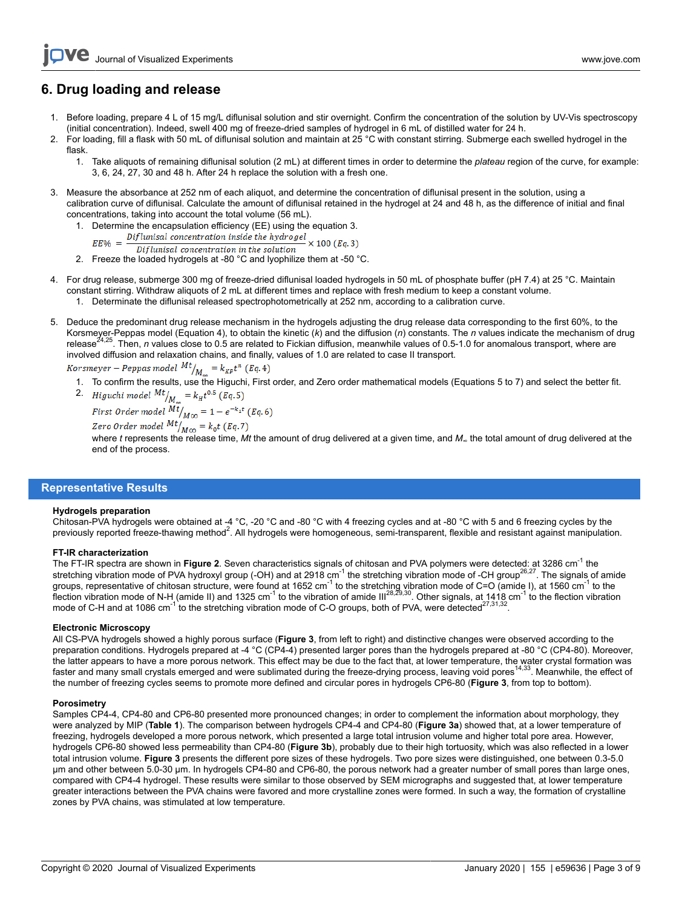# **6. Drug loading and release**

- 1. Before loading, prepare 4 L of 15 mg/L diflunisal solution and stir overnight. Confirm the concentration of the solution by UV-Vis spectroscopy (initial concentration). Indeed, swell 400 mg of freeze-dried samples of hydrogel in 6 mL of distilled water for 24 h.
- 2. For loading, fill a flask with 50 mL of diflunisal solution and maintain at 25 °C with constant stirring. Submerge each swelled hydrogel in the flask.
	- 1. Take aliquots of remaining diflunisal solution (2 mL) at different times in order to determine the *plateau* region of the curve, for example: 3, 6, 24, 27, 30 and 48 h. After 24 h replace the solution with a fresh one.
- 3. Measure the absorbance at 252 nm of each aliquot, and determine the concentration of diflunisal present in the solution, using a calibration curve of diflunisal. Calculate the amount of diflunisal retained in the hydrogel at 24 and 48 h, as the difference of initial and final concentrations, taking into account the total volume (56 mL).
	- 1. Determine the encapsulation efficiency (EE) using the equation 3.<br>  $EE\% = \frac{Difflunisal concentration\ inside\ the\ hydrogen} \times 100\ (Eq. 3)$  $EE\% = \frac{L}{A}$ 
		-
	- 2. Freeze the loaded hydrogels at -80 °C and lyophilize them at -50 °C.
- 4. For drug release, submerge 300 mg of freeze-dried diflunisal loaded hydrogels in 50 mL of phosphate buffer (pH 7.4) at 25 °C. Maintain constant stirring. Withdraw aliquots of 2 mL at different times and replace with fresh medium to keep a constant volume. 1. Determinate the diflunisal released spectrophotometrically at 252 nm, according to a calibration curve.
- 5. Deduce the predominant drug release mechanism in the hydrogels adjusting the drug release data corresponding to the first 60%, to the Korsmeyer-Peppas model (Equation 4), to obtain the kinetic (*k*) and the diffusion (*n*) constants. The *n* values indicate the mechanism of drug release<sup>24,25</sup>. Then, *n* values close to 0.5 are related to Fickian diffusion, meanwhile values of 0.5-1.0 for anomalous transport, where are involved diffusion and relaxation chains, and finally, values of 1.0 are related to case II transport.

- *Korsmeyer Peppas model*  $Mt_{M_{\infty}} = k_{KP}t^n$  (*Eq.* 4)<br>1. To confirm the results, use the Higuchi, First order, and Zero order mathematical models (Equations 5 to 7) and select the better fit.
	- 2. *Higuchi model*  $^{Mt}/_{M_{\infty}} = k_H t^{0.5}$  (*Eq.5*) First Order model  $Mt$   $_{M\infty}$  = 1 –  $e^{-k_1t}$  (Eq. 6)<br>Zero Order model  $Mt$   $_{M\infty}$  =  $k_0t$  (Eq. 7)

where *t* represents the release time, *Mt* the amount of drug delivered at a given time, and *M∞* the total amount of drug delivered at the end of the process.

## **Representative Results**

#### **Hydrogels preparation**

Chitosan-PVA hydrogels were obtained at -4 °C, -20 °C and -80 °C with 4 freezing cycles and at -80 °C with 5 and 6 freezing cycles by the previously reported freeze-thawing method<sup>2</sup>. All hydrogels were homogeneous, semi-transparent, flexible and resistant against manipulation.

#### **FT-IR characterization**

The FT-IR spectra are shown in Figure 2. Seven characteristics signals of chitosan and PVA polymers were detected: at 3286 cm<sup>-1</sup> the stretching vibration mode of PVA hydroxyl group (-OH) and at 2918 cm<sup>-1</sup> the stretching vibration mode of -CH group<sup>26,27</sup>. The signals of amide groups, representative of chitosan structure, were found at 1652 cm $^{-1}$  to the stretching vibration mode of C=O (amide I), at 1560 cm $^{-1}$  to the flection vibration mode of N-H (amide II) and 1325 cm $^{-1}$  to the vibration of amide III<sup>28,29,30</sup>. Other signals, at 1418 cm $^{-1}$  to the flection vibration mode of C-H and at 1086 cm<sup>-1</sup> to the stretching vibration mode of C-O groups, both of PVA, were detected<sup>27,31,32</sup> .

#### **Electronic Microscopy**

All CS-PVA hydrogels showed a highly porous surface (**Figure 3**, from left to right) and distinctive changes were observed according to the preparation conditions. Hydrogels prepared at -4 °C (CP4-4) presented larger pores than the hydrogels prepared at -80 °C (CP4-80). Moreover, the latter appears to have a more porous network. This effect may be due to the fact that, at lower temperature, the water crystal formation was<br>faster and many small crystals emerged and were sublimated during the freezethe number of freezing cycles seems to promote more defined and circular pores in hydrogels CP6-80 (**Figure 3**, from top to bottom).

#### **Porosimetry**

Samples CP4-4, CP4-80 and CP6-80 presented more pronounced changes; in order to complement the information about morphology, they were analyzed by MIP (**Table 1**). The comparison between hydrogels CP4-4 and CP4-80 (**Figure 3a**) showed that, at a lower temperature of freezing, hydrogels developed a more porous network, which presented a large total intrusion volume and higher total pore area. However, hydrogels CP6-80 showed less permeability than CP4-80 (**Figure 3b**), probably due to their high tortuosity, which was also reflected in a lower total intrusion volume. **Figure 3** presents the different pore sizes of these hydrogels. Two pore sizes were distinguished, one between 0.3-5.0 μm and other between 5.0-30 μm. In hydrogels CP4-80 and CP6-80, the porous network had a greater number of small pores than large ones, compared with CP4-4 hydrogel. These results were similar to those observed by SEM micrographs and suggested that, at lower temperature greater interactions between the PVA chains were favored and more crystalline zones were formed. In such a way, the formation of crystalline zones by PVA chains, was stimulated at low temperature.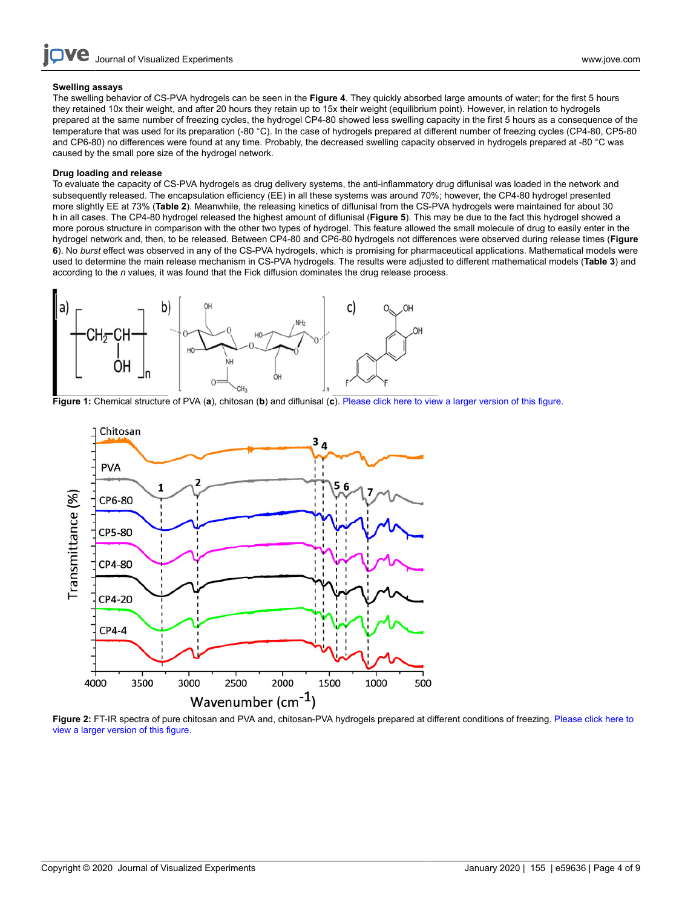#### **Swelling assays**

The swelling behavior of CS-PVA hydrogels can be seen in the **Figure 4**. They quickly absorbed large amounts of water; for the first 5 hours they retained 10x their weight, and after 20 hours they retain up to 15x their weight (equilibrium point). However, in relation to hydrogels prepared at the same number of freezing cycles, the hydrogel CP4-80 showed less swelling capacity in the first 5 hours as a consequence of the temperature that was used for its preparation (-80 °C). In the case of hydrogels prepared at different number of freezing cycles (CP4-80, CP5-80 and CP6-80) no differences were found at any time. Probably, the decreased swelling capacity observed in hydrogels prepared at -80 °C was caused by the small pore size of the hydrogel network.

#### **Drug loading and release**

To evaluate the capacity of CS-PVA hydrogels as drug delivery systems, the anti-inflammatory drug diflunisal was loaded in the network and subsequently released. The encapsulation efficiency (EE) in all these systems was around 70%; however, the CP4-80 hydrogel presented more slightly EE at 73% (**Table 2**). Meanwhile, the releasing kinetics of diflunisal from the CS-PVA hydrogels were maintained for about 30 h in all cases. The CP4-80 hydrogel released the highest amount of diflunisal (**Figure 5**). This may be due to the fact this hydrogel showed a more porous structure in comparison with the other two types of hydrogel. This feature allowed the small molecule of drug to easily enter in the hydrogel network and, then, to be released. Between CP4-80 and CP6-80 hydrogels not differences were observed during release times (**Figure 6**). No *burst* effect was observed in any of the CS-PVA hydrogels, which is promising for pharmaceutical applications. Mathematical models were used to determine the main release mechanism in CS-PVA hydrogels. The results were adjusted to different mathematical models (**Table 3**) and according to the *n* values, it was found that the Fick diffusion dominates the drug release process.



**Figure 1:** Chemical structure of PVA (**a**), chitosan (**b**) and diflunisal (**c**). [Please click here to view a larger version of this figure.](https://www.jove.com/files/ftp_upload/59636/59636fig1largev2.jpg)



**Figure 2:** FT-IR spectra of pure chitosan and PVA and, chitosan-PVA hydrogels prepared at different conditions of freezing. [Please click here to](https://www.jove.com/files/ftp_upload/59636/59636fig2large.jpg) [view a larger version of this figure.](https://www.jove.com/files/ftp_upload/59636/59636fig2large.jpg)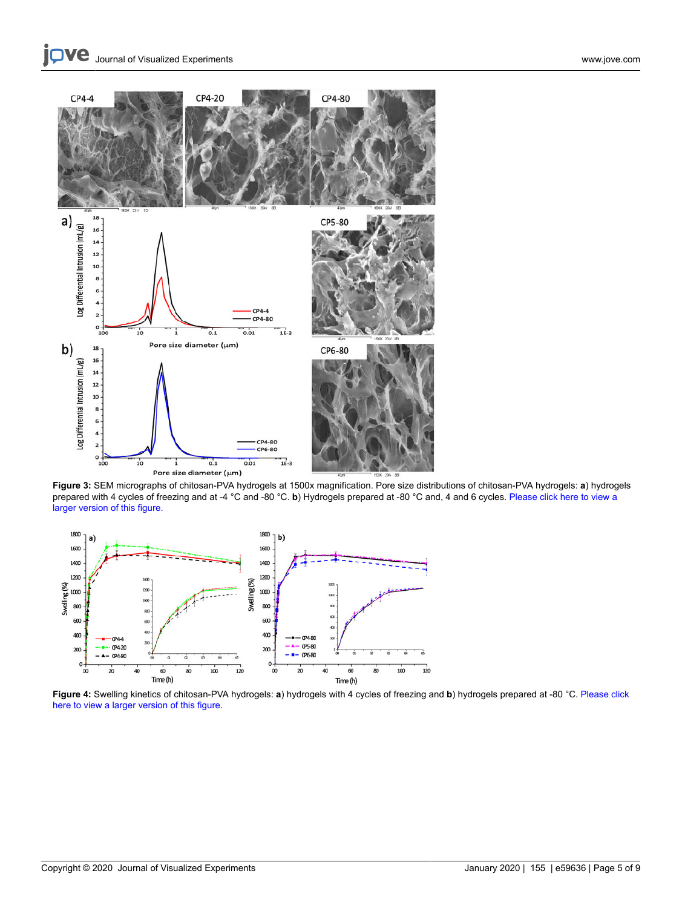

**Figure 3:** SEM micrographs of chitosan-PVA hydrogels at 1500x magnification. Pore size distributions of chitosan-PVA hydrogels: **a**) hydrogels prepared with 4 cycles of freezing and at -4 °C and -80 °C. **b**) Hydrogels prepared at -80 °C and, 4 and 6 cycles. [Please click here to view a](https://www.jove.com/files/ftp_upload/59636/59636fig3large.jpg) [larger version of this figure.](https://www.jove.com/files/ftp_upload/59636/59636fig3large.jpg)



**Figure 4:** Swelling kinetics of chitosan-PVA hydrogels: **a**) hydrogels with 4 cycles of freezing and **b**) hydrogels prepared at -80 °C. [Please click](https://www.jove.com/files/ftp_upload/59636/59636fig4large.jpg) [here to view a larger version of this figure.](https://www.jove.com/files/ftp_upload/59636/59636fig4large.jpg)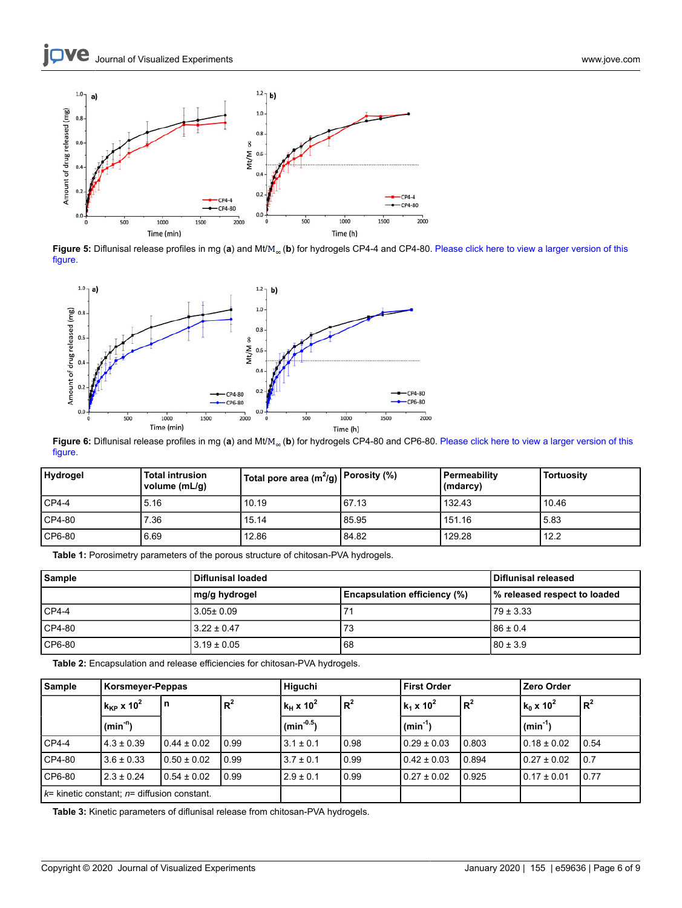

**Figure 5:** Diflunisal release profiles in mg (**a**) and Mt/ (**b**) for hydrogels CP4-4 and CP4-80. [Please click here to view a larger version of this](https://www.jove.com/files/ftp_upload/59636/59636fig5large.jpg) [figure.](https://www.jove.com/files/ftp_upload/59636/59636fig5large.jpg)



Figure 6: Diflunisal release profiles in mg (a) and Mt/M<sub>oo</sub> (b) for hydrogels CP4-80 and CP6-80. [Please click here to view a larger version of this](https://www.jove.com/files/ftp_upload/59636/59636fig6large.jpg) [figure.](https://www.jove.com/files/ftp_upload/59636/59636fig6large.jpg)

| <b>Hydrogel</b> | <b>Total intrusion</b><br>volume (mL/g) | $\,$ Total pore area (m $^{2}$ /g) $\,$ Porosity (%) |       | Permeability<br>(mdarcy) | <b>Tortuosity</b> |
|-----------------|-----------------------------------------|------------------------------------------------------|-------|--------------------------|-------------------|
| $CP4-4$         | 5.16                                    | 10.19                                                | 67.13 | 132.43                   | 10.46             |
| $CP4-80$        | 7.36                                    | 15.14                                                | 85.95 | 151.16                   | 5.83              |
| $CP6-80$        | 6.69                                    | 12.86                                                | 84.82 | 129.28                   | 12.2              |

**Table 1:** Porosimetry parameters of the porous structure of chitosan-PVA hydrogels.

| <b>Sample</b> | <b>Diflunisal loaded</b> | Diflunisal released                 |                              |  |
|---------------|--------------------------|-------------------------------------|------------------------------|--|
|               | ∣mg/g hydrogel           | <b>Encapsulation efficiency (%)</b> | % released respect to loaded |  |
| $CP4-4$       | 3.05± 0.09               | 71                                  | l 79 ± 3.33                  |  |
| $CP4-80$      | $13.22 \pm 0.47$         | 73                                  | $186 \pm 0.4$                |  |
| $CP6-80$      | $13.19 \pm 0.05$         | 68                                  | $180 \pm 3.9$                |  |

**Table 2:** Encapsulation and release efficiencies for chitosan-PVA hydrogels.

| Sample                                            | Korsmeyer-Peppas               |                 |       | Higuchi                                   |       | First Order            |       | <b>Zero Order</b>      |       |
|---------------------------------------------------|--------------------------------|-----------------|-------|-------------------------------------------|-------|------------------------|-------|------------------------|-------|
|                                                   | $k_{\rm KP}$ x 10 <sup>2</sup> | n               | $R^2$ | $\mathsf{k}_\mathsf{H}$ x 10 <sup>2</sup> | $R^2$ | $k_1 \times 10^2$      | $R^2$ | $k_0 x 10^2$           | $R^2$ |
|                                                   | $(min-n)$                      |                 |       | $\vert$ (min <sup>-0.5</sup> )            |       | $\vert$ (min $^{-1}$ ) |       | $\vert$ (min $^{-1}$ ) |       |
| CP4-4                                             | $14.3 \pm 0.39$                | l 0.44 ± 0.02   | 10.99 | $3.1 \pm 0.1$                             | 0.98  | $0.29 \pm 0.03$        | 0.803 | $10.18 \pm 0.02$       | 0.54  |
| $CP4-80$                                          | $3.6 \pm 0.33$                 | l 0.50 ± 0.02   | 10.99 | $3.7 \pm 0.1$                             | 0.99  | $0.42 \pm 0.03$        | 0.894 | $10.27 \pm 0.02$       | 10.7  |
| CP6-80                                            | $2.3 \pm 0.24$                 | $0.54 \pm 0.02$ | 10.99 | $2.9 \pm 0.1$                             | 0.99  | $0.27 \pm 0.02$        | 0.925 | $0.17 \pm 0.01$        | 0.77  |
| $k$ = kinetic constant; $n$ = diffusion constant. |                                |                 |       |                                           |       |                        |       |                        |       |

**Table 3:** Kinetic parameters of diflunisal release from chitosan-PVA hydrogels.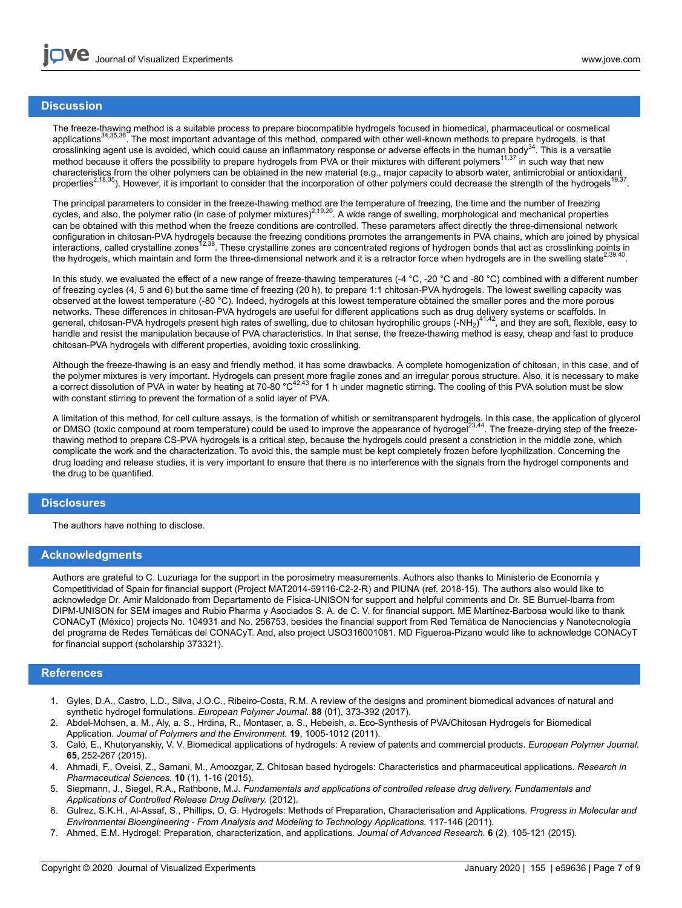### **Discussion**

The freeze-thawing method is a suitable process to prepare biocompatible hydrogels focused in biomedical, pharmaceutical or cosmetical<br>applications<sup>34,35,36</sup>. The most important advantage of this method, compared with othe crosslinking agent use is avoided, which could cause an inflammatory response or adverse effects in the human body<sup>34</sup>. This is a versatile method because it offers the possibility to prepare hydrogels from PVA or their mixtures with different polymers<sup>11,37</sup> in such way that new characteristics from the other polymers can be obtained in the new material (e.g., major capacity to absorb water, antimicrobial or antioxidant properties<sup>2,18,35</sup>). However, it is important to consider that the incorporation of other polymers could decrease the strength of the hydrogels<sup>19,37</sup>.

The principal parameters to consider in the freeze-thawing method are the temperature of freezing, the time and the number of freezing<br>cycles, and also, the polymer ratio (in case of polymer mixtures)<sup>2,19,20</sup>. A wide rang can be obtained with this method when the freeze conditions are controlled. These parameters affect directly the three-dimensional network configuration in chitosan-PVA hydrogels because the freezing conditions promotes the arrangements in PVA chains, which are joined by physical<br>interactions, called crystalline zones<sup>12,38</sup>. These crystalline zones are conce the hydrogels, which maintain and form the three-dimensional network and it is a retractor force when hydrogels are in the swelling state<sup>2,39,40</sup> .

In this study, we evaluated the effect of a new range of freeze-thawing temperatures (-4 °C, -20 °C and -80 °C) combined with a different number of freezing cycles (4, 5 and 6) but the same time of freezing (20 h), to prepare 1:1 chitosan-PVA hydrogels. The lowest swelling capacity was observed at the lowest temperature (-80 °C). Indeed, hydrogels at this lowest temperature obtained the smaller pores and the more porous networks. These differences in chitosan-PVA hydrogels are useful for different applications such as drug delivery systems or scaffolds. In general, chitosan-PVA hydrogels present high rates of swelling, due to chitosan hydrophilic groups (-NH<sub>2</sub>)<sup>41,42</sup>, and they are soft, flexible, easy to handle and resist the manipulation because of PVA characteristics. In that sense, the freeze-thawing method is easy, cheap and fast to produce chitosan-PVA hydrogels with different properties, avoiding toxic crosslinking.

Although the freeze-thawing is an easy and friendly method, it has some drawbacks. A complete homogenization of chitosan, in this case, and of the polymer mixtures is very important. Hydrogels can present more fragile zones and an irregular porous structure. Also, it is necessary to make a correct dissolution of PVA in water by heating at 70-80 °C<sup>42,43</sup> for 1 h under magnetic stirring. The cooling of this PVA solution must be slow with constant stirring to prevent the formation of a solid layer of PVA.

A limitation of this method, for cell culture assays, is the formation of whitish or semitransparent hydrogels. In this case, the application of glycerol or DMSO (toxic compound at room temperature) could be used to improve the appearance of hydrogel<sup>23,44</sup>. The freeze-drying step of the freezethawing method to prepare CS-PVA hydrogels is a critical step, because the hydrogels could present a constriction in the middle zone, which complicate the work and the characterization. To avoid this, the sample must be kept completely frozen before lyophilization. Concerning the drug loading and release studies, it is very important to ensure that there is no interference with the signals from the hydrogel components and the drug to be quantified.

### **Disclosures**

The authors have nothing to disclose.

#### **Acknowledgments**

Authors are grateful to C. Luzuriaga for the support in the porosimetry measurements. Authors also thanks to Ministerio de Economía y Competitividad of Spain for financial support (Project MAT2014-59116-C2-2-R) and PIUNA (ref. 2018-15). The authors also would like to acknowledge Dr. Amir Maldonado from Departamento de Física-UNISON for support and helpful comments and Dr. SE Burruel-Ibarra from DIPM-UNISON for SEM images and Rubio Pharma y Asociados S. A. de C. V. for financial support. ME Martínez-Barbosa would like to thank CONACyT (México) projects No. 104931 and No. 256753, besides the financial support from Red Temática de Nanociencias y Nanotecnología del programa de Redes Temáticas del CONACyT. And, also project USO316001081. MD Figueroa-Pizano would like to acknowledge CONACyT for financial support (scholarship 373321).

### **References**

- 1. Gyles, D.A., Castro, L.D., Silva, J.O.C., Ribeiro-Costa, R.M. A review of the designs and prominent biomedical advances of natural and synthetic hydrogel formulations. *European Polymer Journal.* **88** (01), 373-392 (2017).
- 2. Abdel-Mohsen, a. M., Aly, a. S., Hrdina, R., Montaser, a. S., Hebeish, a. Eco-Synthesis of PVA/Chitosan Hydrogels for Biomedical Application. *Journal of Polymers and the Environment.* **19**, 1005-1012 (2011).
- 3. Caló, E., Khutoryanskiy, V. V. Biomedical applications of hydrogels: A review of patents and commercial products. *European Polymer Journal.* **65**, 252-267 (2015).
- 4. Ahmadi, F., Oveisi, Z., Samani, M., Amoozgar, Z. Chitosan based hydrogels: Characteristics and pharmaceutical applications. *Research in Pharmaceutical Sciences.* **10** (1), 1-16 (2015).
- 5. Siepmann, J., Siegel, R.A., Rathbone, M.J. *Fundamentals and applications of controlled release drug delivery. Fundamentals and Applications of Controlled Release Drug Delivery.* (2012).
- 6. Gulrez, S.K.H., Al-Assaf, S., Phillips, O, G. Hydrogels: Methods of Preparation, Characterisation and Applications. *Progress in Molecular and Environmental Bioengineering - From Analysis and Modeling to Technology Applications.* 117-146 (2011).
- 7. Ahmed, E.M. Hydrogel: Preparation, characterization, and applications. *Journal of Advanced Research.* **6** (2), 105-121 (2015).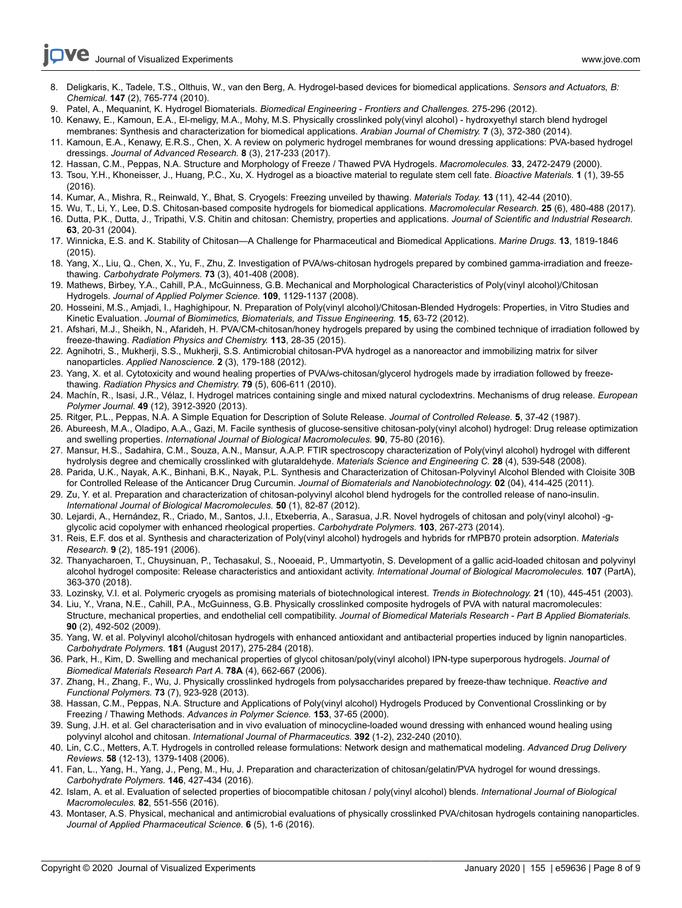- 8. Deligkaris, K., Tadele, T.S., Olthuis, W., van den Berg, A. Hydrogel-based devices for biomedical applications. *Sensors and Actuators, B: Chemical.* **147** (2), 765-774 (2010).
- 9. Patel, A., Mequanint, K. Hydrogel Biomaterials. *Biomedical Engineering Frontiers and Challenges.* 275-296 (2012).
- 10. Kenawy, E., Kamoun, E.A., El-meligy, M.A., Mohy, M.S. Physically crosslinked poly(vinyl alcohol) hydroxyethyl starch blend hydrogel membranes: Synthesis and characterization for biomedical applications. *Arabian Journal of Chemistry.* **7** (3), 372-380 (2014).
- 11. Kamoun, E.A., Kenawy, E.R.S., Chen, X. A review on polymeric hydrogel membranes for wound dressing applications: PVA-based hydrogel dressings. *Journal of Advanced Research.* **8** (3), 217-233 (2017).
- 12. Hassan, C.M., Peppas, N.A. Structure and Morphology of Freeze / Thawed PVA Hydrogels. *Macromolecules.* **33**, 2472-2479 (2000).
- 13. Tsou, Y.H., Khoneisser, J., Huang, P.C., Xu, X. Hydrogel as a bioactive material to regulate stem cell fate. *Bioactive Materials.* **1** (1), 39-55 (2016).
- 14. Kumar, A., Mishra, R., Reinwald, Y., Bhat, S. Cryogels: Freezing unveiled by thawing. *Materials Today.* **13** (11), 42-44 (2010).
- 15. Wu, T., Li, Y., Lee, D.S. Chitosan-based composite hydrogels for biomedical applications. *Macromolecular Research.* **25** (6), 480-488 (2017). 16. Dutta, P.K., Dutta, J., Tripathi, V.S. Chitin and chitosan: Chemistry, properties and applications. *Journal of Scientific and Industrial Research.*
- **63**, 20-31 (2004).
- 17. Winnicka, E.S. and K. Stability of Chitosan—A Challenge for Pharmaceutical and Biomedical Applications. *Marine Drugs.* **13**, 1819-1846 (2015).
- 18. Yang, X., Liu, Q., Chen, X., Yu, F., Zhu, Z. Investigation of PVA/ws-chitosan hydrogels prepared by combined gamma-irradiation and freezethawing. *Carbohydrate Polymers.* **73** (3), 401-408 (2008).
- 19. Mathews, Birbey, Y.A., Cahill, P.A., McGuinness, G.B. Mechanical and Morphological Characteristics of Poly(vinyl alcohol)/Chitosan Hydrogels. *Journal of Applied Polymer Science.* **109**, 1129-1137 (2008).
- 20. Hosseini, M.S., Amjadi, I., Haghighipour, N. Preparation of Poly(vinyl alcohol)/Chitosan-Blended Hydrogels: Properties, in Vitro Studies and Kinetic Evaluation. *Journal of Biomimetics, Biomaterials, and Tissue Engineering.* **15**, 63-72 (2012).
- 21. Afshari, M.J., Sheikh, N., Afarideh, H. PVA/CM-chitosan/honey hydrogels prepared by using the combined technique of irradiation followed by freeze-thawing. *Radiation Physics and Chemistry.* **113**, 28-35 (2015).
- 22. Agnihotri, S., Mukherji, S.S., Mukherji, S.S. Antimicrobial chitosan-PVA hydrogel as a nanoreactor and immobilizing matrix for silver nanoparticles. *Applied Nanoscience.* **2** (3), 179-188 (2012).
- 23. Yang, X. et al. Cytotoxicity and wound healing properties of PVA/ws-chitosan/glycerol hydrogels made by irradiation followed by freezethawing. *Radiation Physics and Chemistry.* **79** (5), 606-611 (2010).
- 24. Machín, R., Isasi, J.R., Vélaz, I. Hydrogel matrices containing single and mixed natural cyclodextrins. Mechanisms of drug release. *European Polymer Journal.* **49** (12), 3912-3920 (2013).
- 25. Ritger, P.L., Peppas, N.A. A Simple Equation for Description of Solute Release. *Journal of Controlled Release.* **5**, 37-42 (1987).
- 26. Abureesh, M.A., Oladipo, A.A., Gazi, M. Facile synthesis of glucose-sensitive chitosan-poly(vinyl alcohol) hydrogel: Drug release optimization and swelling properties. *International Journal of Biological Macromolecules.* **90**, 75-80 (2016).
- 27. Mansur, H.S., Sadahira, C.M., Souza, A.N., Mansur, A.A.P. FTIR spectroscopy characterization of Poly(vinyl alcohol) hydrogel with different hydrolysis degree and chemically crosslinked with glutaraldehyde. *Materials Science and Engineering C.* **28** (4), 539-548 (2008).
- 28. Parida, U.K., Nayak, A.K., Binhani, B.K., Nayak, P.L. Synthesis and Characterization of Chitosan-Polyvinyl Alcohol Blended with Cloisite 30B for Controlled Release of the Anticancer Drug Curcumin. *Journal of Biomaterials and Nanobiotechnology.* **02** (04), 414-425 (2011).
- 29. Zu, Y. et al. Preparation and characterization of chitosan-polyvinyl alcohol blend hydrogels for the controlled release of nano-insulin. *International Journal of Biological Macromolecules.* **50** (1), 82-87 (2012).
- 30. Lejardi, A., Hernández, R., Criado, M., Santos, J.I., Etxeberria, A., Sarasua, J.R. Novel hydrogels of chitosan and poly(vinyl alcohol) -gglycolic acid copolymer with enhanced rheological properties. *Carbohydrate Polymers.* **103**, 267-273 (2014).
- 31. Reis, E.F. dos et al. Synthesis and characterization of Poly(vinyl alcohol) hydrogels and hybrids for rMPB70 protein adsorption. *Materials Research.* **9** (2), 185-191 (2006).
- 32. Thanyacharoen, T., Chuysinuan, P., Techasakul, S., Nooeaid, P., Ummartyotin, S. Development of a gallic acid-loaded chitosan and polyvinyl alcohol hydrogel composite: Release characteristics and antioxidant activity. *International Journal of Biological Macromolecules.* **107** (PartA), 363-370 (2018).
- 33. Lozinsky, V.I. et al. Polymeric cryogels as promising materials of biotechnological interest. *Trends in Biotechnology.* **21** (10), 445-451 (2003).
- 34. Liu, Y., Vrana, N.E., Cahill, P.A., McGuinness, G.B. Physically crosslinked composite hydrogels of PVA with natural macromolecules: Structure, mechanical properties, and endothelial cell compatibility. *Journal of Biomedical Materials Research - Part B Applied Biomaterials.* **90** (2), 492-502 (2009).
- 35. Yang, W. et al. Polyvinyl alcohol/chitosan hydrogels with enhanced antioxidant and antibacterial properties induced by lignin nanoparticles. *Carbohydrate Polymers.* **181** (August 2017), 275-284 (2018).
- 36. Park, H., Kim, D. Swelling and mechanical properties of glycol chitosan/poly(vinyl alcohol) IPN-type superporous hydrogels. *Journal of Biomedical Materials Research Part A.* **78A** (4), 662-667 (2006).
- 37. Zhang, H., Zhang, F., Wu, J. Physically crosslinked hydrogels from polysaccharides prepared by freeze-thaw technique. *Reactive and Functional Polymers.* **73** (7), 923-928 (2013).
- 38. Hassan, C.M., Peppas, N.A. Structure and Applications of Poly(vinyl alcohol) Hydrogels Produced by Conventional Crosslinking or by Freezing / Thawing Methods. *Advances in Polymer Science.* **153**, 37-65 (2000).
- 39. Sung, J.H. et al. Gel characterisation and in vivo evaluation of minocycline-loaded wound dressing with enhanced wound healing using polyvinyl alcohol and chitosan. *International Journal of Pharmaceutics.* **392** (1-2), 232-240 (2010).
- 40. Lin, C.C., Metters, A.T. Hydrogels in controlled release formulations: Network design and mathematical modeling. *Advanced Drug Delivery Reviews.* **58** (12-13), 1379-1408 (2006).
- 41. Fan, L., Yang, H., Yang, J., Peng, M., Hu, J. Preparation and characterization of chitosan/gelatin/PVA hydrogel for wound dressings. *Carbohydrate Polymers.* **146**, 427-434 (2016).
- 42. Islam, A. et al. Evaluation of selected properties of biocompatible chitosan / poly(vinyl alcohol) blends. *International Journal of Biological Macromolecules.* **82**, 551-556 (2016).
- 43. Montaser, A.S. Physical, mechanical and antimicrobial evaluations of physically crosslinked PVA/chitosan hydrogels containing nanoparticles. *Journal of Applied Pharmaceutical Science.* **6** (5), 1-6 (2016).